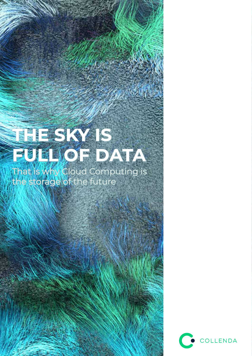# **THE SKY IS FULL OF DATA**

That is why Cloud Computing is the storage of the future

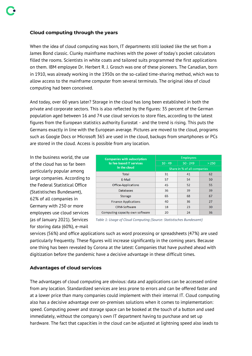### **Cloud computing through the years**

When the idea of cloud computing was born, IT departments still looked like the set from a James Bond classic. Clunky mainframe machines with the power of today's pocket calculators filled the rooms. Scientists in white coats and tailored suits programmed the first applications on them. IBM employee Dr. Herbert R. J. Grosch was one of these pioneers. The Canadian, born in 1910, was already working in the 1950s on the so-called time-sharing method, which was to allow access to the mainframe computer from several terminals. The original idea of cloud computing had been conceived.

And today, over 60 years later? Storage in the cloud has long been established in both the private and corporate sectors. This is also reflected by the figures: 35 percent of the German population aged between 16 and 74 use cloud services to store files, according to the latest figures from the European statistics authority Eurostat - and the trend is rising. This puts the Germans exactly in line with the European average. Pictures are moved to the cloud, programs such as Google Docs or Microsoft 365 are used in the cloud, backups from smartphones or PCs are stored in the cloud. Access is possible from any location.

In the business world, the use of the cloud has so far been particularly popular among large companies. According to the Federal Statistical Office (Statistisches Bundesamt), 62% of all companies in Germany with 250 or more employees use cloud services (as of January 2021). Services for storing data (60%), e-mail

| <b>Companies with subscription</b><br>to fee-based IT services<br>in the cloud | <b>Employees</b>            |            |       |
|--------------------------------------------------------------------------------|-----------------------------|------------|-------|
|                                                                                | $10 - 49$                   | $50 - 249$ | > 250 |
|                                                                                | Share in % of all companies |            |       |
| Total                                                                          | 31                          | 41         | 62    |
| E-Mail                                                                         | 57                          | 54         | 50    |
| Office-Applications                                                            | 45                          | 52         | 55    |
| Databases                                                                      | 36                          | 39         | 39    |
| <b>Storage</b>                                                                 | 65                          | 68         | 67    |
| <b>Finance Applications</b>                                                    | 40                          | 36         | 27    |
| <b>CRM-Software</b>                                                            | 18                          | 23         | 30    |
| Computing capacity own software                                                | 20                          | 24         | 36    |

*Table 1: Usage of Cloud Computing (Source: Statistisches Bundesamt)*

services (56%) and office applications such as word processing or spreadsheets (47%) are used particularly frequently. These figures will increase significantly in the coming years. Because one thing has been revealed by Corona at the latest: Companies that have pushed ahead with digitization before the pandemic have a decisive advantage in these difficult times.

# **Advantages of cloud services**

The advantages of cloud computing are obvious: data and applications can be accessed online from any location. Standardized services are less prone to errors and can be offered faster and at a lower price than many companies could implement with their internal IT. Cloud computing also has a decisive advantage over on-premises solutions when it comes to implementation: speed. Computing power and storage space can be booked at the touch of a button and used immediately, without the company's own IT department having to purchase and set up hardware. The fact that capacities in the cloud can be adjusted at lightning speed also leads to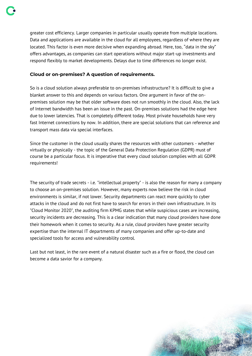greater cost efficiency. Larger companies in particular usually operate from multiple locations. Data and applications are available in the cloud for all employees, regardless of where they are located. This factor is even more decisive when expanding abroad. Here, too, "data in the sky" offers advantages, as companies can start operations without major start-up investments and respond flexibly to market developments. Delays due to time differences no longer exist.

## **Cloud or on-premises? A question of requirements.**

So is a cloud solution always preferable to on-premises infrastructure? It is difficult to give a blanket answer to this and depends on various factors. One argument in favor of the onpremises solution may be that older software does not run smoothly in the cloud. Also, the lack of Internet bandwidth has been an issue in the past. On-premises solutions had the edge here due to lower latencies. That is completely different today. Most private households have very fast Internet connections by now. In addition, there are special solutions that can reference and transport mass data via special interfaces.

Since the customer in the cloud usually shares the resources with other customers - whether virtually or physically - the topic of the General Data Protection Regulation (GDPR) must of course be a particular focus. It is imperative that every cloud solution complies with all GDPR requirements!

The security of trade secrets - i.e. "intellectual property" - is also the reason for many a company to choose an on-premises solution. However, many experts now believe the risk in cloud environments is similar, if not lower. Security departments can react more quickly to cyber attacks in the cloud and do not first have to search for errors in their own infrastructure. In its "Cloud Monitor 2020", the auditing firm KPMG states that while suspicious cases are increasing, security incidents are decreasing. This is a clear indication that many cloud providers have done their homework when it comes to security. As a rule, cloud providers have greater security expertise than the internal IT departments of many companies and offer up-to-date and specialized tools for access and vulnerability control.

Last but not least, in the rare event of a natural disaster such as a fire or flood, the cloud can become a data savior for a company.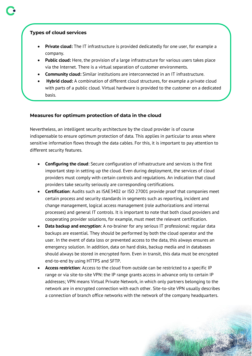- **Private cloud:** The IT infrastructure is provided dedicatedly for one user, for example a company.
- Public cloud: Here, the provision of a large infrastructure for various users takes place via the Internet. There is a virtual separation of customer environments.
- **Community cloud:** Similar institutions are interconnected in an IT infrastructure.
- **Hybrid cloud:** A combination of different cloud structures, for example a private cloud with parts of a public cloud. Virtual hardware is provided to the customer on a dedicated basis.

### **Measures for optimum protection of data in the cloud**

Nevertheless, an intelligent security architecture by the cloud provider is of course indispensable to ensure optimum protection of data. This applies in particular to areas where sensitive information flows through the data cables. For this, it is important to pay attention to different security features.

- **Configuring the cloud**: Secure configuration of infrastructure and services is the first important step in setting up the cloud. Even during deployment, the services of cloud providers must comply with certain controls and regulations. An indication that cloud providers take security seriously are corresponding certifications.
- **Certification**: Audits such as ISAE3402 or ISO 27001 provide proof that companies meet certain process and security standards in segments such as reporting, incident and change management, logical access management (role authorizations and internal processes) and general IT controls. It is important to note that both cloud providers and cooperating provider solutions, for example, must meet the relevant certification.
- **Data backup and encryption**: A no-brainer for any serious IT professional: regular data backups are essential. They should be performed by both the cloud operator and the user. In the event of data loss or prevented access to the data, this always ensures an emergency solution. In addition, data on hard disks, backup media and in databases should always be stored in encrypted form. Even in transit, this data must be encrypted end-to-end by using HTTPS and SFTP.
- Access restriction: Access to the cloud from outside can be restricted to a specific IP range or via site-to-site VPN: the IP range grants access in advance only to certain IP addresses; VPN means Virtual Private Network, in which only partners belonging to the network are in encrypted connection with each other. Site-to-site VPN usually describes a connection of branch office networks with the network of the company headquarters.